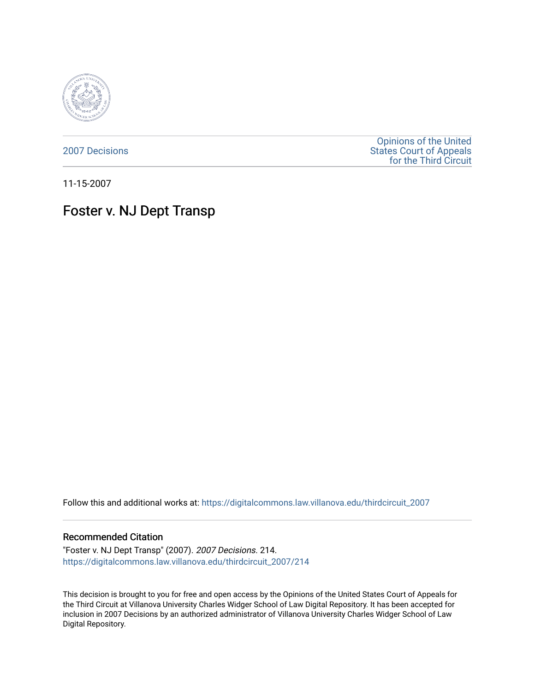

[2007 Decisions](https://digitalcommons.law.villanova.edu/thirdcircuit_2007)

[Opinions of the United](https://digitalcommons.law.villanova.edu/thirdcircuit)  [States Court of Appeals](https://digitalcommons.law.villanova.edu/thirdcircuit)  [for the Third Circuit](https://digitalcommons.law.villanova.edu/thirdcircuit) 

11-15-2007

# Foster v. NJ Dept Transp

Follow this and additional works at: [https://digitalcommons.law.villanova.edu/thirdcircuit\\_2007](https://digitalcommons.law.villanova.edu/thirdcircuit_2007?utm_source=digitalcommons.law.villanova.edu%2Fthirdcircuit_2007%2F214&utm_medium=PDF&utm_campaign=PDFCoverPages) 

#### Recommended Citation

"Foster v. NJ Dept Transp" (2007). 2007 Decisions. 214. [https://digitalcommons.law.villanova.edu/thirdcircuit\\_2007/214](https://digitalcommons.law.villanova.edu/thirdcircuit_2007/214?utm_source=digitalcommons.law.villanova.edu%2Fthirdcircuit_2007%2F214&utm_medium=PDF&utm_campaign=PDFCoverPages)

This decision is brought to you for free and open access by the Opinions of the United States Court of Appeals for the Third Circuit at Villanova University Charles Widger School of Law Digital Repository. It has been accepted for inclusion in 2007 Decisions by an authorized administrator of Villanova University Charles Widger School of Law Digital Repository.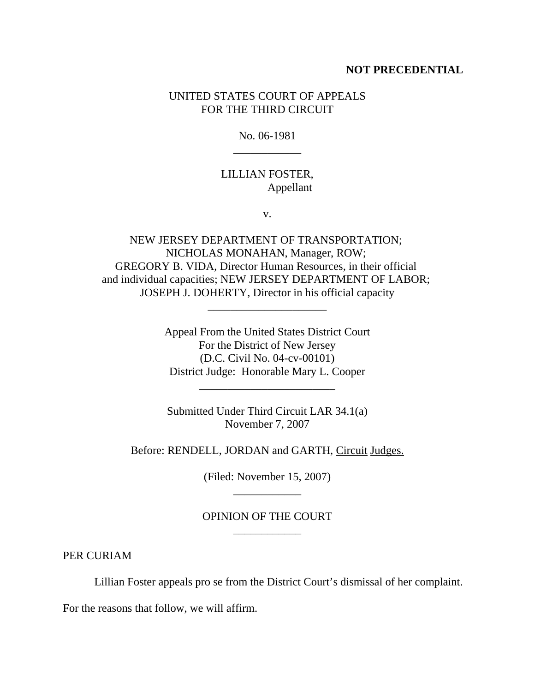#### **NOT PRECEDENTIAL**

## UNITED STATES COURT OF APPEALS FOR THE THIRD CIRCUIT

No. 06-1981 \_\_\_\_\_\_\_\_\_\_\_\_

# LILLIAN FOSTER, Appellant

v.

NEW JERSEY DEPARTMENT OF TRANSPORTATION; NICHOLAS MONAHAN, Manager, ROW; GREGORY B. VIDA, Director Human Resources, in their official and individual capacities; NEW JERSEY DEPARTMENT OF LABOR; JOSEPH J. DOHERTY, Director in his official capacity

\_\_\_\_\_\_\_\_\_\_\_\_\_\_\_\_\_\_\_\_\_

Appeal From the United States District Court For the District of New Jersey (D.C. Civil No. 04-cv-00101) District Judge: Honorable Mary L. Cooper

\_\_\_\_\_\_\_\_\_\_\_\_\_\_\_\_\_\_\_\_\_\_\_\_

Submitted Under Third Circuit LAR 34.1(a) November 7, 2007

Before: RENDELL, JORDAN and GARTH, Circuit Judges.

(Filed: November 15, 2007) \_\_\_\_\_\_\_\_\_\_\_\_

## OPINION OF THE COURT \_\_\_\_\_\_\_\_\_\_\_\_

PER CURIAM

Lillian Foster appeals pro se from the District Court's dismissal of her complaint.

For the reasons that follow, we will affirm.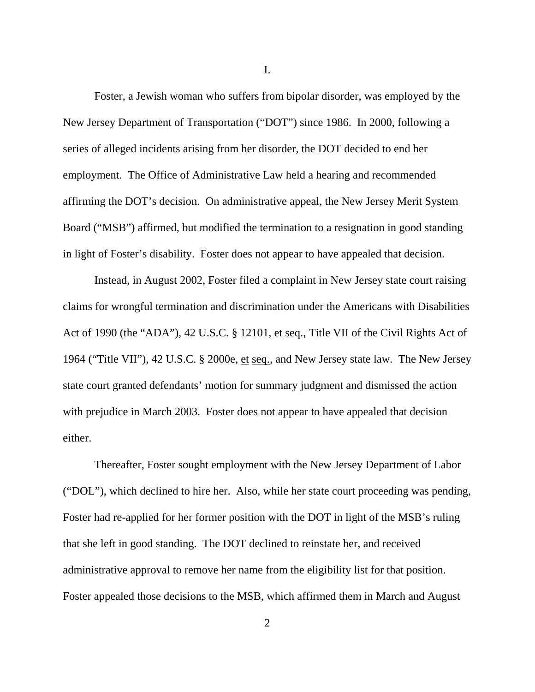I.

Foster, a Jewish woman who suffers from bipolar disorder, was employed by the New Jersey Department of Transportation ("DOT") since 1986. In 2000, following a series of alleged incidents arising from her disorder, the DOT decided to end her employment. The Office of Administrative Law held a hearing and recommended affirming the DOT's decision. On administrative appeal, the New Jersey Merit System Board ("MSB") affirmed, but modified the termination to a resignation in good standing in light of Foster's disability. Foster does not appear to have appealed that decision.

Instead, in August 2002, Foster filed a complaint in New Jersey state court raising claims for wrongful termination and discrimination under the Americans with Disabilities Act of 1990 (the "ADA"), 42 U.S.C. § 12101, et seq., Title VII of the Civil Rights Act of 1964 ("Title VII"), 42 U.S.C. § 2000e, et seq., and New Jersey state law. The New Jersey state court granted defendants' motion for summary judgment and dismissed the action with prejudice in March 2003. Foster does not appear to have appealed that decision either.

Thereafter, Foster sought employment with the New Jersey Department of Labor ("DOL"), which declined to hire her. Also, while her state court proceeding was pending, Foster had re-applied for her former position with the DOT in light of the MSB's ruling that she left in good standing. The DOT declined to reinstate her, and received administrative approval to remove her name from the eligibility list for that position. Foster appealed those decisions to the MSB, which affirmed them in March and August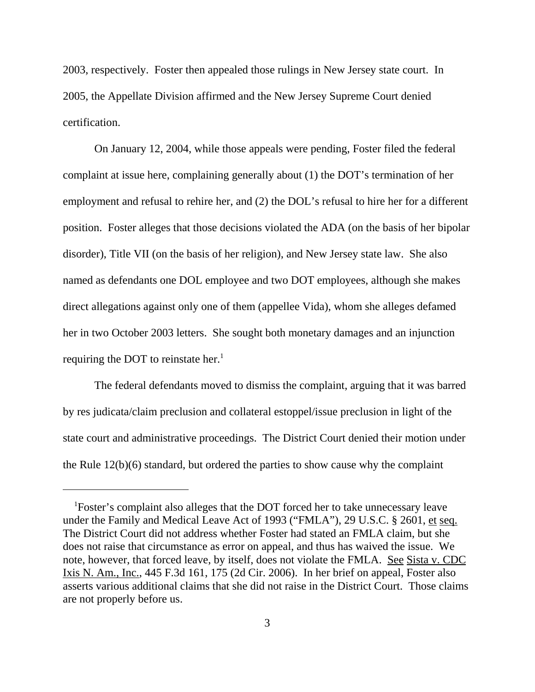2003, respectively. Foster then appealed those rulings in New Jersey state court. In 2005, the Appellate Division affirmed and the New Jersey Supreme Court denied certification.

On January 12, 2004, while those appeals were pending, Foster filed the federal complaint at issue here, complaining generally about (1) the DOT's termination of her employment and refusal to rehire her, and (2) the DOL's refusal to hire her for a different position. Foster alleges that those decisions violated the ADA (on the basis of her bipolar disorder), Title VII (on the basis of her religion), and New Jersey state law. She also named as defendants one DOL employee and two DOT employees, although she makes direct allegations against only one of them (appellee Vida), whom she alleges defamed her in two October 2003 letters. She sought both monetary damages and an injunction requiring the DOT to reinstate her.<sup>1</sup>

The federal defendants moved to dismiss the complaint, arguing that it was barred by res judicata/claim preclusion and collateral estoppel/issue preclusion in light of the state court and administrative proceedings. The District Court denied their motion under the Rule 12(b)(6) standard, but ordered the parties to show cause why the complaint

<sup>&</sup>lt;sup>1</sup>Foster's complaint also alleges that the DOT forced her to take unnecessary leave under the Family and Medical Leave Act of 1993 ("FMLA"), 29 U.S.C. § 2601, et seq. The District Court did not address whether Foster had stated an FMLA claim, but she does not raise that circumstance as error on appeal, and thus has waived the issue. We note, however, that forced leave, by itself, does not violate the FMLA. See Sista v. CDC Ixis N. Am., Inc., 445 F.3d 161, 175 (2d Cir. 2006). In her brief on appeal, Foster also asserts various additional claims that she did not raise in the District Court. Those claims are not properly before us.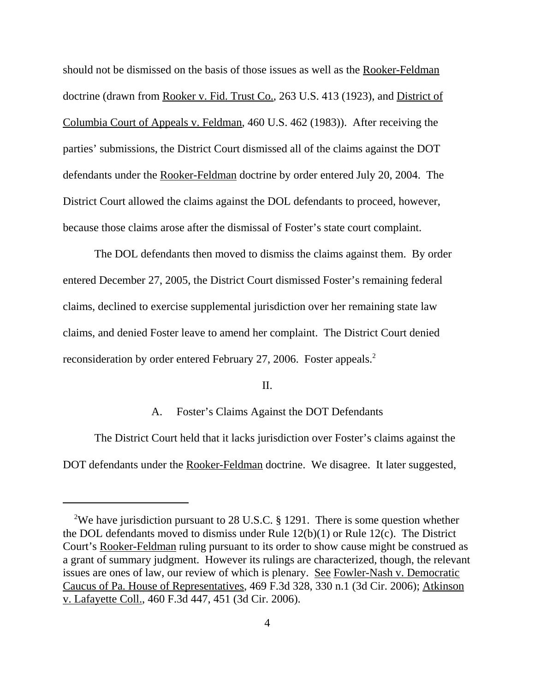should not be dismissed on the basis of those issues as well as the Rooker-Feldman doctrine (drawn from Rooker v. Fid. Trust Co., 263 U.S. 413 (1923), and District of Columbia Court of Appeals v. Feldman, 460 U.S. 462 (1983)). After receiving the parties' submissions, the District Court dismissed all of the claims against the DOT defendants under the Rooker-Feldman doctrine by order entered July 20, 2004. The District Court allowed the claims against the DOL defendants to proceed, however, because those claims arose after the dismissal of Foster's state court complaint.

The DOL defendants then moved to dismiss the claims against them. By order entered December 27, 2005, the District Court dismissed Foster's remaining federal claims, declined to exercise supplemental jurisdiction over her remaining state law claims, and denied Foster leave to amend her complaint. The District Court denied reconsideration by order entered February 27, 2006. Foster appeals.<sup>2</sup>

#### II.

#### A. Foster's Claims Against the DOT Defendants

The District Court held that it lacks jurisdiction over Foster's claims against the DOT defendants under the Rooker-Feldman doctrine. We disagree. It later suggested,

<sup>&</sup>lt;sup>2</sup>We have jurisdiction pursuant to 28 U.S.C. § 1291. There is some question whether the DOL defendants moved to dismiss under Rule 12(b)(1) or Rule 12(c). The District Court's Rooker-Feldman ruling pursuant to its order to show cause might be construed as a grant of summary judgment. However its rulings are characterized, though, the relevant issues are ones of law, our review of which is plenary. See Fowler-Nash v. Democratic Caucus of Pa. House of Representatives, 469 F.3d 328, 330 n.1 (3d Cir. 2006); Atkinson v. Lafayette Coll., 460 F.3d 447, 451 (3d Cir. 2006).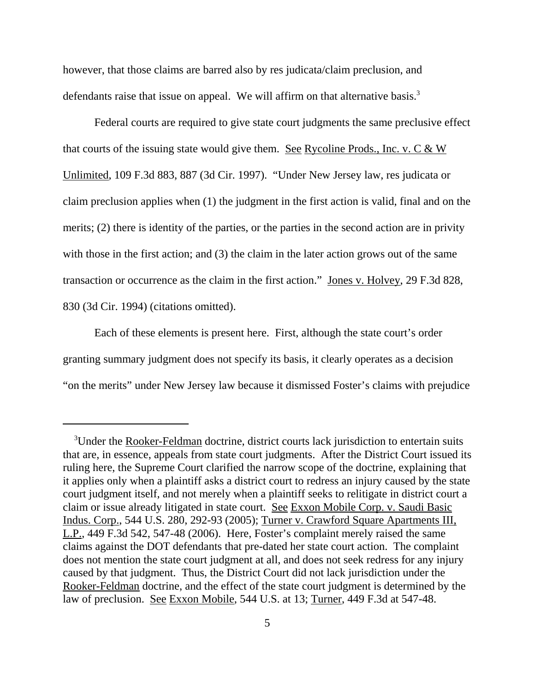however, that those claims are barred also by res judicata/claim preclusion, and defendants raise that issue on appeal. We will affirm on that alternative basis.<sup>3</sup>

Federal courts are required to give state court judgments the same preclusive effect that courts of the issuing state would give them. See Rycoline Prods., Inc. v. C & W Unlimited, 109 F.3d 883, 887 (3d Cir. 1997). "Under New Jersey law, res judicata or claim preclusion applies when (1) the judgment in the first action is valid, final and on the merits; (2) there is identity of the parties, or the parties in the second action are in privity with those in the first action; and (3) the claim in the later action grows out of the same transaction or occurrence as the claim in the first action." Jones v. Holvey, 29 F.3d 828, 830 (3d Cir. 1994) (citations omitted).

Each of these elements is present here. First, although the state court's order granting summary judgment does not specify its basis, it clearly operates as a decision "on the merits" under New Jersey law because it dismissed Foster's claims with prejudice

<sup>&</sup>lt;sup>3</sup>Under the Rooker-Feldman doctrine, district courts lack jurisdiction to entertain suits that are, in essence, appeals from state court judgments. After the District Court issued its ruling here, the Supreme Court clarified the narrow scope of the doctrine, explaining that it applies only when a plaintiff asks a district court to redress an injury caused by the state court judgment itself, and not merely when a plaintiff seeks to relitigate in district court a claim or issue already litigated in state court. See Exxon Mobile Corp. v. Saudi Basic Indus. Corp., 544 U.S. 280, 292-93 (2005); Turner v. Crawford Square Apartments III, L.P., 449 F.3d 542, 547-48 (2006). Here, Foster's complaint merely raised the same claims against the DOT defendants that pre-dated her state court action. The complaint does not mention the state court judgment at all, and does not seek redress for any injury caused by that judgment. Thus, the District Court did not lack jurisdiction under the Rooker-Feldman doctrine, and the effect of the state court judgment is determined by the law of preclusion. See Exxon Mobile, 544 U.S. at 13; Turner, 449 F.3d at 547-48.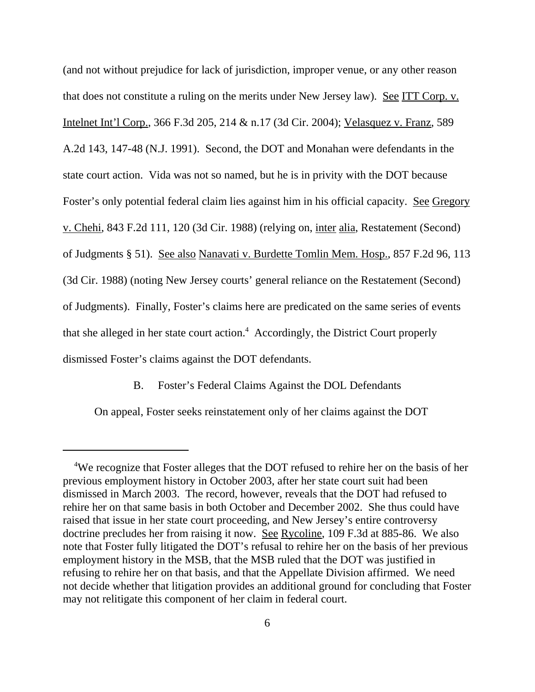(and not without prejudice for lack of jurisdiction, improper venue, or any other reason that does not constitute a ruling on the merits under New Jersey law). See ITT Corp. v. Intelnet Int'l Corp., 366 F.3d 205, 214 & n.17 (3d Cir. 2004); Velasquez v. Franz, 589 A.2d 143, 147-48 (N.J. 1991). Second, the DOT and Monahan were defendants in the state court action. Vida was not so named, but he is in privity with the DOT because Foster's only potential federal claim lies against him in his official capacity. See Gregory v. Chehi, 843 F.2d 111, 120 (3d Cir. 1988) (relying on, inter alia, Restatement (Second) of Judgments § 51). See also Nanavati v. Burdette Tomlin Mem. Hosp., 857 F.2d 96, 113 (3d Cir. 1988) (noting New Jersey courts' general reliance on the Restatement (Second) of Judgments). Finally, Foster's claims here are predicated on the same series of events that she alleged in her state court action.<sup>4</sup> Accordingly, the District Court properly dismissed Foster's claims against the DOT defendants.

B. Foster's Federal Claims Against the DOL Defendants

On appeal, Foster seeks reinstatement only of her claims against the DOT

<sup>&</sup>lt;sup>4</sup>We recognize that Foster alleges that the DOT refused to rehire her on the basis of her previous employment history in October 2003, after her state court suit had been dismissed in March 2003. The record, however, reveals that the DOT had refused to rehire her on that same basis in both October and December 2002. She thus could have raised that issue in her state court proceeding, and New Jersey's entire controversy doctrine precludes her from raising it now. See Rycoline, 109 F.3d at 885-86. We also note that Foster fully litigated the DOT's refusal to rehire her on the basis of her previous employment history in the MSB, that the MSB ruled that the DOT was justified in refusing to rehire her on that basis, and that the Appellate Division affirmed. We need not decide whether that litigation provides an additional ground for concluding that Foster may not relitigate this component of her claim in federal court.